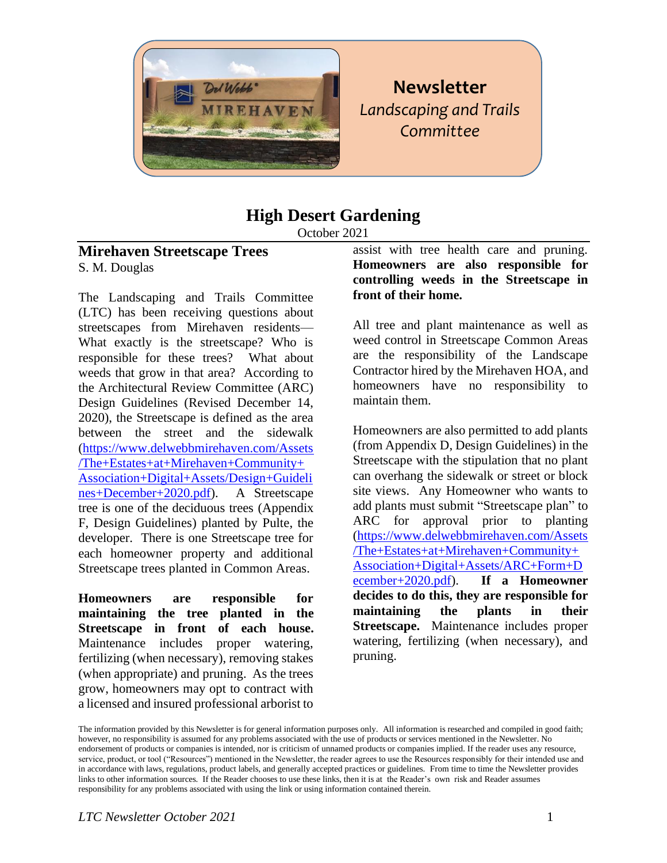

# **Newsletter** *Landscaping and Trails Committee*

# **High Desert Gardening**

October 2021

### **Mirehaven Streetscape Trees** S. M. Douglas

The Landscaping and Trails Committee (LTC) has been receiving questions about streetscapes from Mirehaven residents— What exactly is the streetscape? Who is responsible for these trees? What about weeds that grow in that area? According to the Architectural Review Committee (ARC) Design Guidelines (Revised December 14, 2020), the Streetscape is defined as the area between the street and the sidewalk [\(https://www.delwebbmirehaven.com/Assets](https://www.delwebbmirehaven.com/Assets/The+Estates+at+Mirehaven+Community+Association+Digital+Assets/Design+Guidelines+December+2020.pdf) [/The+Estates+at+Mirehaven+Community+](https://www.delwebbmirehaven.com/Assets/The+Estates+at+Mirehaven+Community+Association+Digital+Assets/Design+Guidelines+December+2020.pdf) [Association+Digital+Assets/Design+Guideli](https://www.delwebbmirehaven.com/Assets/The+Estates+at+Mirehaven+Community+Association+Digital+Assets/Design+Guidelines+December+2020.pdf) [nes+December+2020.pdf\)](https://www.delwebbmirehaven.com/Assets/The+Estates+at+Mirehaven+Community+Association+Digital+Assets/Design+Guidelines+December+2020.pdf). A Streetscape tree is one of the deciduous trees (Appendix F, Design Guidelines) planted by Pulte, the developer. There is one Streetscape tree for each homeowner property and additional Streetscape trees planted in Common Areas.

**Homeowners are responsible for maintaining the tree planted in the Streetscape in front of each house.** Maintenance includes proper watering, fertilizing (when necessary), removing stakes (when appropriate) and pruning. As the trees grow, homeowners may opt to contract with a licensed and insured professional arborist to

assist with tree health care and pruning. **Homeowners are also responsible for controlling weeds in the Streetscape in front of their home.**

All tree and plant maintenance as well as weed control in Streetscape Common Areas are the responsibility of the Landscape Contractor hired by the Mirehaven HOA, and homeowners have no responsibility to maintain them.

Homeowners are also permitted to add plants (from Appendix D, Design Guidelines) in the Streetscape with the stipulation that no plant can overhang the sidewalk or street or block site views. Any Homeowner who wants to add plants must submit "Streetscape plan" to ARC for approval prior to planting [\(https://www.delwebbmirehaven.com/Assets](https://www.delwebbmirehaven.com/Assets/The+Estates+at+Mirehaven+Community+Association+Digital+Assets/ARC+Form+December+2020.pdf) [/The+Estates+at+Mirehaven+Community+](https://www.delwebbmirehaven.com/Assets/The+Estates+at+Mirehaven+Community+Association+Digital+Assets/ARC+Form+December+2020.pdf) [Association+Digital+Assets/ARC+Form+D](https://www.delwebbmirehaven.com/Assets/The+Estates+at+Mirehaven+Community+Association+Digital+Assets/ARC+Form+December+2020.pdf) [ecember+2020.pdf\)](https://www.delwebbmirehaven.com/Assets/The+Estates+at+Mirehaven+Community+Association+Digital+Assets/ARC+Form+December+2020.pdf). **If a Homeowner decides to do this, they are responsible for maintaining the plants in their Streetscape.** Maintenance includes proper watering, fertilizing (when necessary), and pruning.

The information provided by this Newsletter is for general information purposes only. All information is researched and compiled in good faith; however, no responsibility is assumed for any problems associated with the use of products or services mentioned in the Newsletter. No endorsement of products or companies is intended, nor is criticism of unnamed products or companies implied. If the reader uses any resource, service, product, or tool ("Resources") mentioned in the Newsletter, the reader agrees to use the Resources responsibly for their intended use and in accordance with laws, regulations, product labels, and generally accepted practices or guidelines. From time to time the Newsletter provides links to other information sources. If the Reader chooses to use these links, then it is at the Reader's own risk and Reader assumes responsibility for any problems associated with using the link or using information contained therein.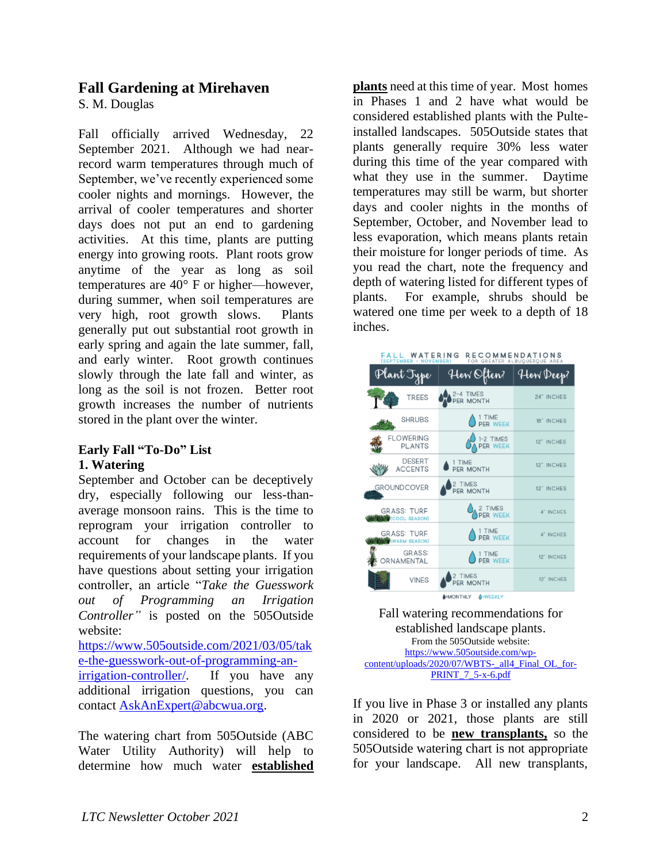### **Fall Gardening at Mirehaven**

S. M. Douglas

Fall officially arrived Wednesday, 22 September 2021. Although we had nearrecord warm temperatures through much of September, we've recently experienced some cooler nights and mornings. However, the arrival of cooler temperatures and shorter days does not put an end to gardening activities. At this time, plants are putting energy into growing roots. Plant roots grow anytime of the year as long as soil temperatures are 40° F or higher—however, during summer, when soil temperatures are very high, root growth slows. Plants generally put out substantial root growth in early spring and again the late summer, fall, and early winter. Root growth continues slowly through the late fall and winter, as long as the soil is not frozen. Better root growth increases the number of nutrients stored in the plant over the winter.

### **Early Fall "To-Do" List 1. Watering**

September and October can be deceptively dry, especially following our less-thanaverage monsoon rains. This is the time to reprogram your irrigation controller to account for changes in the water requirements of your landscape plants. If you have questions about setting your irrigation controller, an article "*Take the Guesswork out of Programming an Irrigation Controller"* is posted on the 505Outside website:

[https://www.505outside.com/2021/03/05/tak](https://www.505outside.com/2021/03/05/take-the-guesswork-out-of-programming-an-irrigation-controller/) [e-the-guesswork-out-of-programming-an](https://www.505outside.com/2021/03/05/take-the-guesswork-out-of-programming-an-irrigation-controller/)[irrigation-controller/.](https://www.505outside.com/2021/03/05/take-the-guesswork-out-of-programming-an-irrigation-controller/) If you have any additional irrigation questions, you can

contact [AskAnExpert@abcwua.org.](mailto:AskAnExpert@abcwua.org)

The watering chart from 505Outside (ABC Water Utility Authority) will help to determine how much water **established** 

**plants** need at this time of year. Most homes in Phases 1 and 2 have what would be considered established plants with the Pulteinstalled landscapes. 505Outside states that plants generally require 30% less water during this time of the year compared with what they use in the summer. Daytime temperatures may still be warm, but shorter days and cooler nights in the months of September, October, and November lead to less evaporation, which means plants retain their moisture for longer periods of time. As you read the chart, note the frequency and depth of watering listed for different types of plants. For example, shrubs should be watered one time per week to a depth of 18 inches.



Fall watering recommendations for established landscape plants. From the 505Outside website: [https://www.505outside.com/wp](https://www.505outside.com/wp-content/uploads/2020/07/WBTS-_all4_Final_OL_for-PRINT_7_5-x-6.pdf)[content/uploads/2020/07/WBTS-\\_all4\\_Final\\_OL\\_for-](https://www.505outside.com/wp-content/uploads/2020/07/WBTS-_all4_Final_OL_for-PRINT_7_5-x-6.pdf)[PRINT\\_7\\_5-x-6.pdf](https://www.505outside.com/wp-content/uploads/2020/07/WBTS-_all4_Final_OL_for-PRINT_7_5-x-6.pdf)

If you live in Phase 3 or installed any plants in 2020 or 2021, those plants are still considered to be **new transplants,** so the 505Outside watering chart is not appropriate for your landscape. All new transplants,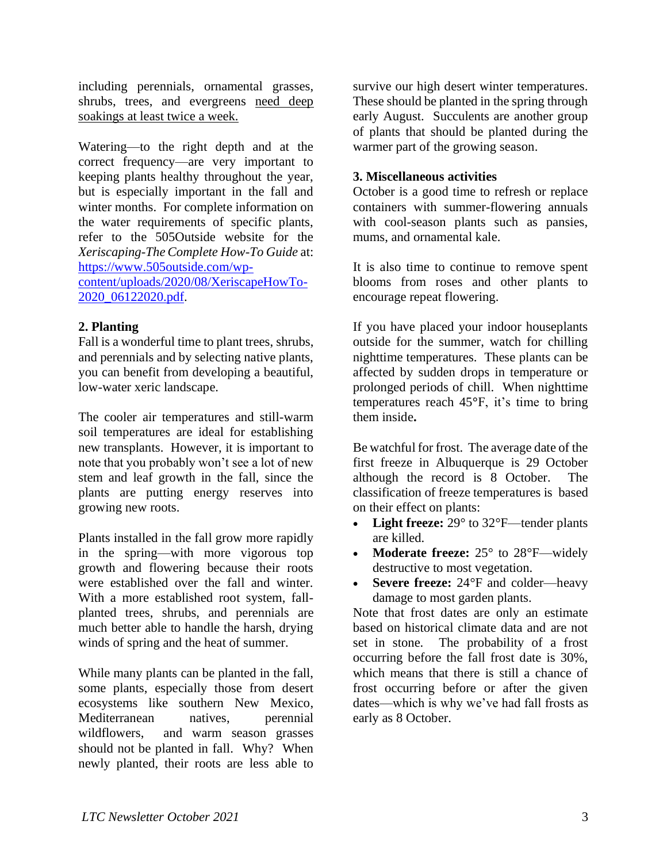including perennials, ornamental grasses, shrubs, trees, and evergreens need deep soakings at least twice a week.

Watering—to the right depth and at the correct frequency—are very important to keeping plants healthy throughout the year, but is especially important in the fall and winter months. For complete information on the water requirements of specific plants, refer to the 505Outside website for the *Xeriscaping-The Complete How-To Guide* at: [https://www.505outside.com/wp](https://www.505outside.com/wp-content/uploads/2020/08/XeriscapeHowTo-2020_06122020.pdf)[content/uploads/2020/08/XeriscapeHowTo-](https://www.505outside.com/wp-content/uploads/2020/08/XeriscapeHowTo-2020_06122020.pdf)

[2020\\_06122020.pdf.](https://www.505outside.com/wp-content/uploads/2020/08/XeriscapeHowTo-2020_06122020.pdf)

### **2. Planting**

Fall is a wonderful time to plant trees, shrubs, and perennials and by selecting native plants, you can benefit from developing a beautiful, low-water xeric landscape.

The cooler air temperatures and still-warm soil temperatures are ideal for establishing new transplants. However, it is important to note that you probably won't see a lot of new stem and leaf growth in the fall, since the plants are putting energy reserves into growing new roots.

Plants installed in the fall grow more rapidly in the spring—with more vigorous top growth and flowering because their roots were established over the fall and winter. With a more established root system, fallplanted trees, shrubs, and perennials are much better able to handle the harsh, drying winds of spring and the heat of summer.

While many plants can be planted in the fall, some plants, especially those from desert ecosystems like southern New Mexico, Mediterranean natives, perennial wildflowers, and warm season grasses should not be planted in fall. Why? When newly planted, their roots are less able to

survive our high desert winter temperatures. These should be planted in the spring through early August. Succulents are another group of plants that should be planted during the warmer part of the growing season.

#### **3. Miscellaneous activities**

October is a good time to refresh or replace containers with summer-flowering annuals with cool-season plants such as pansies, mums, and ornamental kale.

It is also time to continue to remove spent blooms from roses and other plants to encourage repeat flowering.

If you have placed your indoor houseplants outside for the summer, watch for chilling nighttime temperatures. These plants can be affected by sudden drops in temperature or prolonged periods of chill. When nighttime temperatures reach 45**°**F, it's time to bring them inside**.**

Be watchful for frost. The average date of the first freeze in Albuquerque is 29 October although the record is 8 October. The classification of freeze temperatures is based on their effect on plants:

- Light freeze: 29° to 32°F—tender plants are killed.
- **Moderate freeze:** 25° to 28°F—widely destructive to most vegetation.
- **Severe freeze:** 24°F and colder—heavy damage to most garden plants.

Note that frost dates are only an estimate based on historical climate data and are not set in stone. The probability of a frost occurring before the fall frost date is 30%, which means that there is still a chance of frost occurring before or after the given dates—which is why we've had fall frosts as early as 8 October.